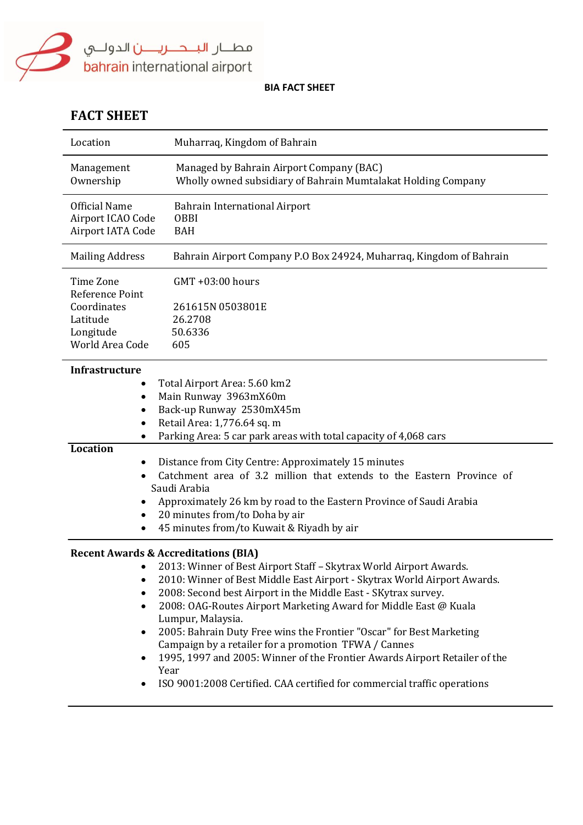

# **FACT SHEET**

| Location                                                                                | Muharraq, Kingdom of Bahrain                                                                                                                                                                                                                                                                                                                                                                                                                                                                                                                                                                                  |
|-----------------------------------------------------------------------------------------|---------------------------------------------------------------------------------------------------------------------------------------------------------------------------------------------------------------------------------------------------------------------------------------------------------------------------------------------------------------------------------------------------------------------------------------------------------------------------------------------------------------------------------------------------------------------------------------------------------------|
| Management<br>Ownership                                                                 | Managed by Bahrain Airport Company (BAC)<br>Wholly owned subsidiary of Bahrain Mumtalakat Holding Company                                                                                                                                                                                                                                                                                                                                                                                                                                                                                                     |
| <b>Official Name</b><br>Airport ICAO Code<br>Airport IATA Code                          | <b>Bahrain International Airport</b><br><b>OBBI</b><br><b>BAH</b>                                                                                                                                                                                                                                                                                                                                                                                                                                                                                                                                             |
| <b>Mailing Address</b>                                                                  | Bahrain Airport Company P.O Box 24924, Muharraq, Kingdom of Bahrain                                                                                                                                                                                                                                                                                                                                                                                                                                                                                                                                           |
| Time Zone<br>Reference Point<br>Coordinates<br>Latitude<br>Longitude<br>World Area Code | GMT +03:00 hours<br>261615N 0503801E<br>26.2708<br>50.6336<br>605                                                                                                                                                                                                                                                                                                                                                                                                                                                                                                                                             |
| <b>Infrastructure</b><br>$\bullet$                                                      | Total Airport Area: 5.60 km2<br>Main Runway 3963mX60m<br>Back-up Runway 2530mX45m<br>Retail Area: 1,776.64 sq. m<br>Parking Area: 5 car park areas with total capacity of 4,068 cars                                                                                                                                                                                                                                                                                                                                                                                                                          |
| <b>Location</b><br>٠<br>٠                                                               | Distance from City Centre: Approximately 15 minutes<br>Catchment area of 3.2 million that extends to the Eastern Province of<br>Saudi Arabia<br>Approximately 26 km by road to the Eastern Province of Saudi Arabia<br>20 minutes from/to Doha by air<br>45 minutes from/to Kuwait & Riyadh by air                                                                                                                                                                                                                                                                                                            |
| <b>Recent Awards &amp; Accreditations (BIA)</b><br>$\bullet$<br>$\bullet$               | • 2013: Winner of Best Airport Staff - Skytrax World Airport Awards.<br>2010: Winner of Best Middle East Airport - Skytrax World Airport Awards.<br>2008: Second best Airport in the Middle East - SKytrax survey.<br>2008: OAG-Routes Airport Marketing Award for Middle East @ Kuala<br>Lumpur, Malaysia.<br>2005: Bahrain Duty Free wins the Frontier "Oscar" for Best Marketing<br>Campaign by a retailer for a promotion TFWA / Cannes<br>1995, 1997 and 2005: Winner of the Frontier Awards Airport Retailer of the<br>Year<br>ISO 9001:2008 Certified. CAA certified for commercial traffic operations |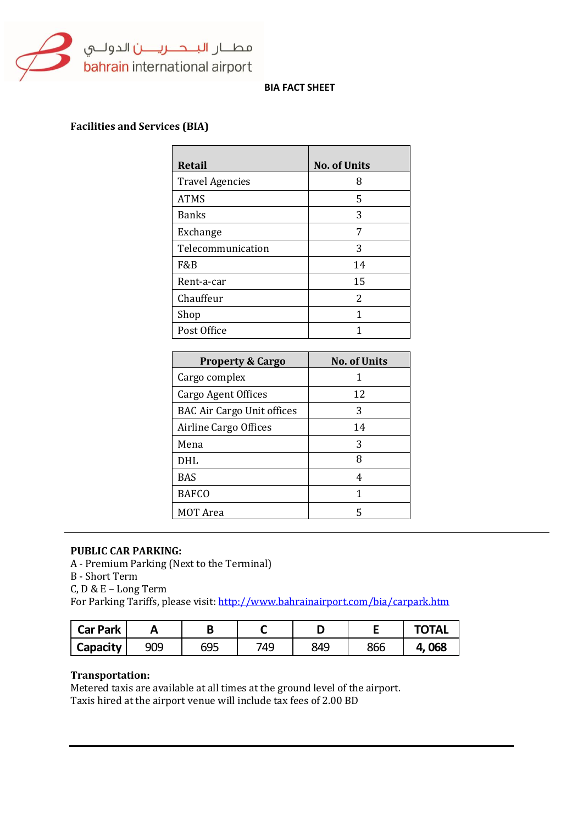

# **Facilities and Services (BIA)**

| <b>Retail</b>          | <b>No. of Units</b> |
|------------------------|---------------------|
| <b>Travel Agencies</b> | 8                   |
| <b>ATMS</b>            | 5                   |
| <b>Banks</b>           | 3                   |
| Exchange               | 7                   |
| Telecommunication      | 3                   |
| F&B                    | 14                  |
| Rent-a-car             | 15                  |
| Chauffeur              | 2                   |
| Shop                   | 1                   |
| Post Office            |                     |

| <b>Property &amp; Cargo</b>       | <b>No. of Units</b> |
|-----------------------------------|---------------------|
| Cargo complex                     |                     |
| Cargo Agent Offices               | 12                  |
| <b>BAC Air Cargo Unit offices</b> | 3                   |
| Airline Cargo Offices             | 14                  |
| Mena                              | 3                   |
| <b>DHL</b>                        | 8                   |
| <b>BAS</b>                        | 4                   |
| <b>BAFCO</b>                      | 1                   |
| <b>MOT</b> Area                   | 5                   |

#### **PUBLIC CAR PARKING:**

A - Premium Parking (Next to the Terminal)

B - Short Term

C, D & E – Long Term

For Parking Tariffs, please visit:<http://www.bahrainairport.com/bia/carpark.htm>

| <b>Car Park</b> |     |                   |     |     |     | <b>OTAL</b> |
|-----------------|-----|-------------------|-----|-----|-----|-------------|
| Capacity        | 909 | <b>GQF</b><br>ບບບ | 749 | 849 | 866 | 068<br>4.   |

# **Transportation:**

Metered taxis are available at all times at the ground level of the airport. Taxis hired at the airport venue will include tax fees of 2.00 BD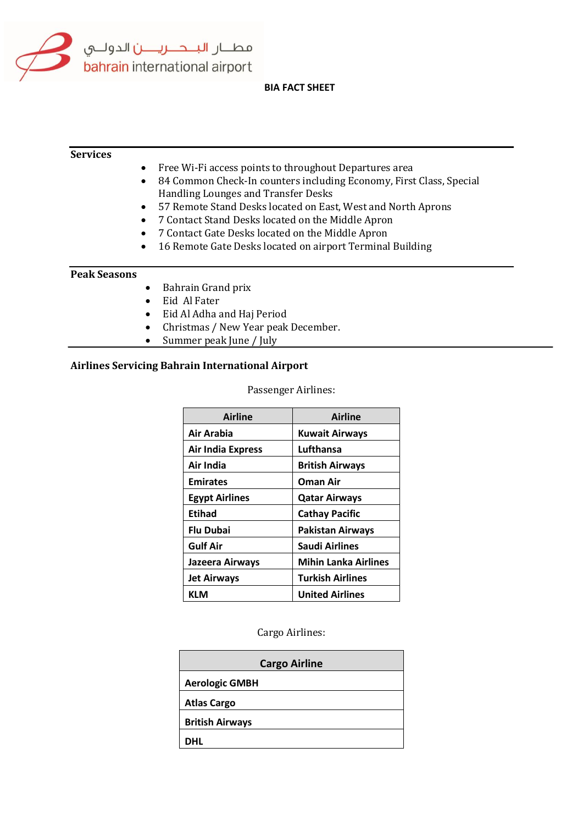

# **Services**  • Free Wi-Fi access points to throughout Departures area 84 Common Check-In counters including Economy, First Class, Special Handling Lounges and Transfer Desks 57 Remote Stand Desks located on East, West and North Aprons 7 Contact Stand Desks located on the Middle Apron 7 Contact Gate Desks located on the Middle Apron • 16 Remote Gate Desks located on airport Terminal Building **Peak Seasons** • Bahrain Grand prix • Eid Al Fater Eid Al Adha and Haj Period • Christmas / New Year peak December. • Summer peak June / July

# **Airlines Servicing Bahrain International Airport**

#### Passenger Airlines:

| <b>Airline</b>           | <b>Airline</b>              |
|--------------------------|-----------------------------|
| Air Arabia               | <b>Kuwait Airways</b>       |
| <b>Air India Express</b> | Lufthansa                   |
| Air India                | <b>British Airways</b>      |
| <b>Emirates</b>          | <b>Oman Air</b>             |
| <b>Egypt Airlines</b>    | <b>Qatar Airways</b>        |
| Etihad                   | <b>Cathay Pacific</b>       |
| <b>Flu Dubai</b>         | <b>Pakistan Airways</b>     |
| <b>Gulf Air</b>          | <b>Saudi Airlines</b>       |
| Jazeera Airways          | <b>Mihin Lanka Airlines</b> |
| <b>Jet Airways</b>       | <b>Turkish Airlines</b>     |
| KLM                      | <b>United Airlines</b>      |

Cargo Airlines:

| <b>Cargo Airline</b>   |  |  |
|------------------------|--|--|
| <b>Aerologic GMBH</b>  |  |  |
| <b>Atlas Cargo</b>     |  |  |
| <b>British Airways</b> |  |  |
| DHL                    |  |  |